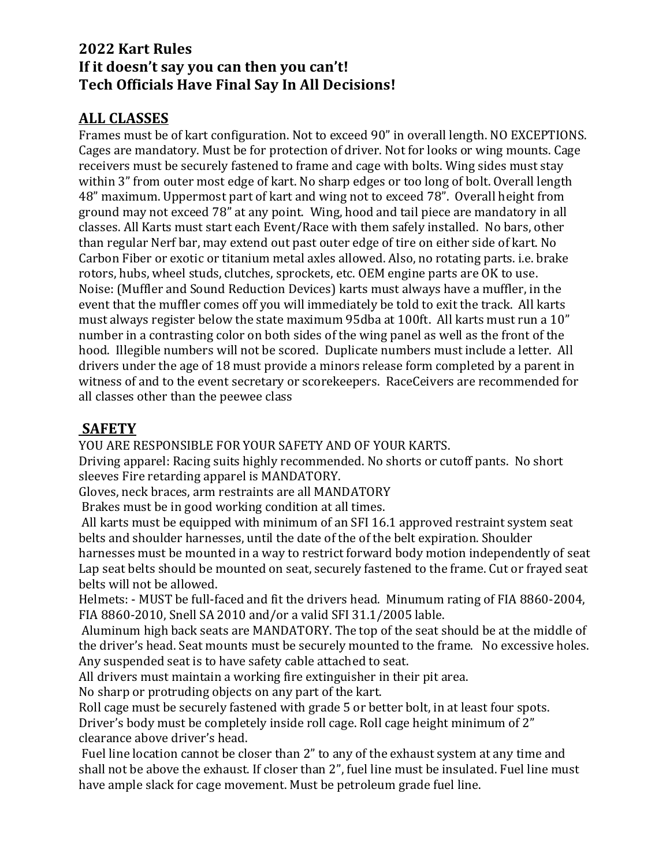# **2022 Kart Rules If it doesn't say you can then you can't! Tech Officials Have Final Say In All Decisions!**

# **ALL CLASSES**

Frames must be of kart configuration. Not to exceed 90" in overall length. NO EXCEPTIONS. Cages are mandatory. Must be for protection of driver. Not for looks or wing mounts. Cage receivers must be securely fastened to frame and cage with bolts. Wing sides must stay within 3" from outer most edge of kart. No sharp edges or too long of bolt. Overall length 48" maximum. Uppermost part of kart and wing not to exceed 78". Overall height from ground may not exceed 78" at any point. Wing, hood and tail piece are mandatory in all classes. All Karts must start each Event/Race with them safely installed. No bars, other than regular Nerf bar, may extend out past outer edge of tire on either side of kart. No Carbon Fiber or exotic or titanium metal axles allowed. Also, no rotating parts. i.e. brake rotors, hubs, wheel studs, clutches, sprockets, etc. OEM engine parts are OK to use. Noise: (Muffler and Sound Reduction Devices) karts must always have a muffler, in the event that the muffler comes off you will immediately be told to exit the track. All karts must always register below the state maximum 95dba at 100ft. All karts must run a 10" number in a contrasting color on both sides of the wing panel as well as the front of the hood. Illegible numbers will not be scored. Duplicate numbers must include a letter. All drivers under the age of 18 must provide a minors release form completed by a parent in witness of and to the event secretary or scorekeepers. RaceCeivers are recommended for all classes other than the peewee class

# **SAFETY**

YOU ARE RESPONSIBLE FOR YOUR SAFETY AND OF YOUR KARTS.

Driving apparel: Racing suits highly recommended. No shorts or cutoff pants. No short sleeves Fire retarding apparel is MANDATORY.

Gloves, neck braces, arm restraints are all MANDATORY

Brakes must be in good working condition at all times.

All karts must be equipped with minimum of an SFI 16.1 approved restraint system seat belts and shoulder harnesses, until the date of the of the belt expiration. Shoulder

harnesses must be mounted in a way to restrict forward body motion independently of seat Lap seat belts should be mounted on seat, securely fastened to the frame. Cut or frayed seat belts will not be allowed.

Helmets: - MUST be full-faced and fit the drivers head. Minumum rating of FIA 8860-2004, FIA 8860-2010, Snell SA 2010 and/or a valid SFI 31.1/2005 lable.

Aluminum high back seats are MANDATORY. The top of the seat should be at the middle of the driver's head. Seat mounts must be securely mounted to the frame. No excessive holes. Any suspended seat is to have safety cable attached to seat.

All drivers must maintain a working fire extinguisher in their pit area.

No sharp or protruding objects on any part of the kart.

Roll cage must be securely fastened with grade 5 or better bolt, in at least four spots. Driver's body must be completely inside roll cage. Roll cage height minimum of 2" clearance above driver's head.

Fuel line location cannot be closer than 2" to any of the exhaust system at any time and shall not be above the exhaust. If closer than 2", fuel line must be insulated. Fuel line must have ample slack for cage movement. Must be petroleum grade fuel line.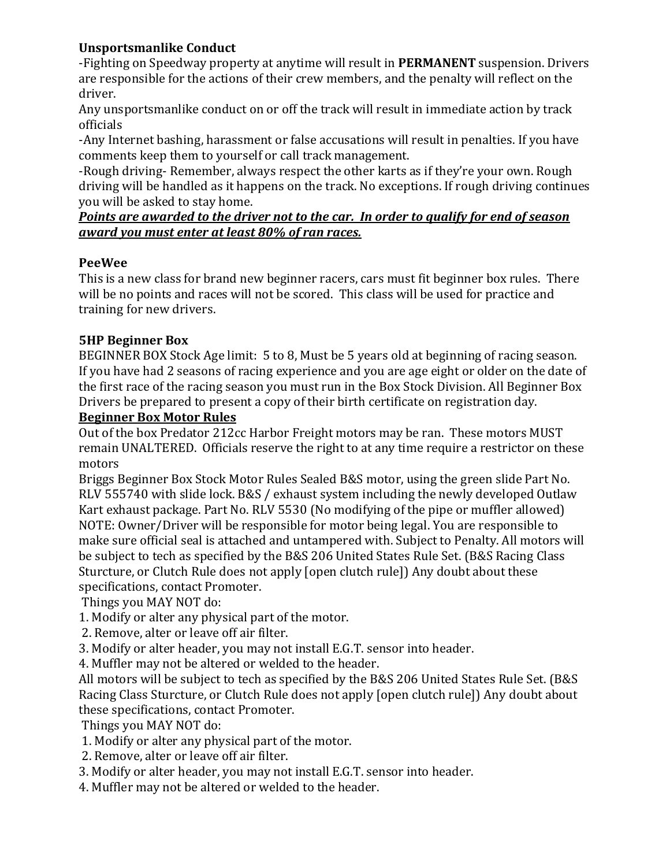### **Unsportsmanlike Conduct**

-Fighting on Speedway property at anytime will result in **PERMANENT** suspension. Drivers are responsible for the actions of their crew members, and the penalty will reflect on the driver.

Any unsportsmanlike conduct on or off the track will result in immediate action by track officials

-Any Internet bashing, harassment or false accusations will result in penalties. If you have comments keep them to yourself or call track management.

-Rough driving- Remember, always respect the other karts as if they're your own. Rough driving will be handled as it happens on the track. No exceptions. If rough driving continues you will be asked to stay home.

#### *Points are awarded to the driver not to the car. In order to qualify for end of season award you must enter at least 80% of ran races.*

### **PeeWee**

This is a new class for brand new beginner racers, cars must fit beginner box rules. There will be no points and races will not be scored. This class will be used for practice and training for new drivers.

### **5HP Beginner Box**

BEGINNER BOX Stock Age limit: 5 to 8, Must be 5 years old at beginning of racing season. If you have had 2 seasons of racing experience and you are age eight or older on the date of the first race of the racing season you must run in the Box Stock Division. All Beginner Box Drivers be prepared to present a copy of their birth certificate on registration day.

#### **Beginner Box Motor Rules**

Out of the box Predator 212cc Harbor Freight motors may be ran. These motors MUST remain UNALTERED. Officials reserve the right to at any time require a restrictor on these motors

Briggs Beginner Box Stock Motor Rules Sealed B&S motor, using the green slide Part No. RLV 555740 with slide lock. B&S / exhaust system including the newly developed Outlaw Kart exhaust package. Part No. RLV 5530 (No modifying of the pipe or muffler allowed) NOTE: Owner/Driver will be responsible for motor being legal. You are responsible to make sure official seal is attached and untampered with. Subject to Penalty. All motors will be subject to tech as specified by the B&S 206 United States Rule Set. (B&S Racing Class Sturcture, or Clutch Rule does not apply [open clutch rule]) Any doubt about these specifications, contact Promoter.

Things you MAY NOT do:

- 1. Modify or alter any physical part of the motor.
- 2. Remove, alter or leave off air filter.
- 3. Modify or alter header, you may not install E.G.T. sensor into header.

4. Muffler may not be altered or welded to the header.

All motors will be subject to tech as specified by the B&S 206 United States Rule Set. (B&S Racing Class Sturcture, or Clutch Rule does not apply [open clutch rule]) Any doubt about these specifications, contact Promoter.

Things you MAY NOT do:

- 1. Modify or alter any physical part of the motor.
- 2. Remove, alter or leave off air filter.
- 3. Modify or alter header, you may not install E.G.T. sensor into header.
- 4. Muffler may not be altered or welded to the header.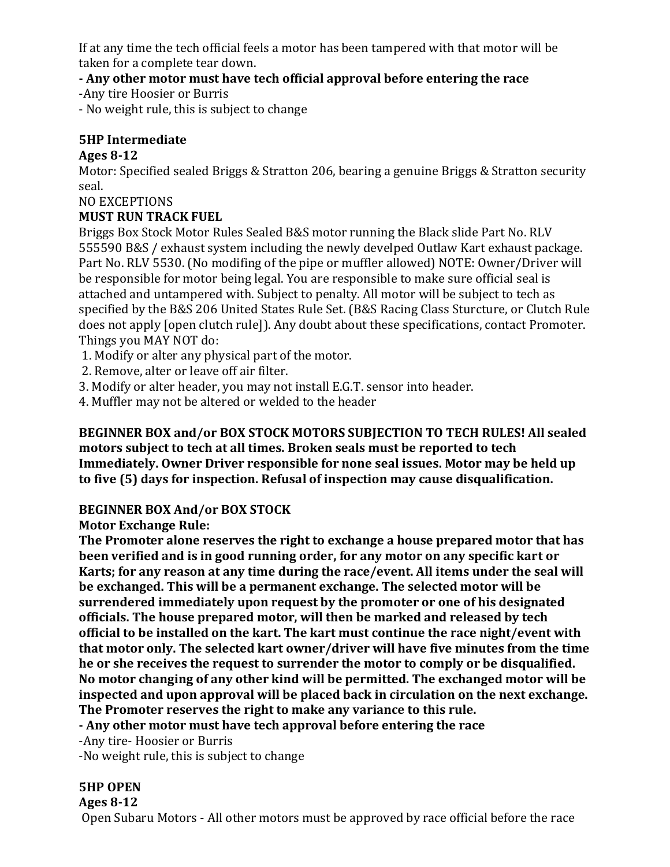If at any time the tech official feels a motor has been tampered with that motor will be taken for a complete tear down.

**- Any other motor must have tech official approval before entering the race**

-Any tire Hoosier or Burris

- No weight rule, this is subject to change

### **5HP Intermediate**

### **Ages 8-12**

Motor: Specified sealed Briggs & Stratton 206, bearing a genuine Briggs & Stratton security seal.

### NO EXCEPTIONS

### **MUST RUN TRACK FUEL**

Briggs Box Stock Motor Rules Sealed B&S motor running the Black slide Part No. RLV 555590 B&S / exhaust system including the newly develped Outlaw Kart exhaust package. Part No. RLV 5530. (No modifing of the pipe or muffler allowed) NOTE: Owner/Driver will be responsible for motor being legal. You are responsible to make sure official seal is attached and untampered with. Subject to penalty. All motor will be subject to tech as specified by the B&S 206 United States Rule Set. (B&S Racing Class Sturcture, or Clutch Rule does not apply [open clutch rule]). Any doubt about these specifications, contact Promoter. Things you MAY NOT do:

- 1. Modify or alter any physical part of the motor.
- 2. Remove, alter or leave off air filter.
- 3. Modify or alter header, you may not install E.G.T. sensor into header.
- 4. Muffler may not be altered or welded to the header

#### **BEGINNER BOX and/or BOX STOCK MOTORS SUBJECTION TO TECH RULES! All sealed motors subject to tech at all times. Broken seals must be reported to tech Immediately. Owner Driver responsible for none seal issues. Motor may be held up to five (5) days for inspection. Refusal of inspection may cause disqualification.**

### **BEGINNER BOX And/or BOX STOCK**

### **Motor Exchange Rule:**

**The Promoter alone reserves the right to exchange a house prepared motor that has been verified and is in good running order, for any motor on any specific kart or Karts; for any reason at any time during the race/event. All items under the seal will be exchanged. This will be a permanent exchange. The selected motor will be surrendered immediately upon request by the promoter or one of his designated officials. The house prepared motor, will then be marked and released by tech official to be installed on the kart. The kart must continue the race night/event with that motor only. The selected kart owner/driver will have five minutes from the time he or she receives the request to surrender the motor to comply or be disqualified. No motor changing of any other kind will be permitted. The exchanged motor will be inspected and upon approval will be placed back in circulation on the next exchange. The Promoter reserves the right to make any variance to this rule.**

**- Any other motor must have tech approval before entering the race**

-Any tire- Hoosier or Burris

-No weight rule, this is subject to change

### **5HP OPEN**

#### **Ages 8-12**

Open Subaru Motors - All other motors must be approved by race official before the race